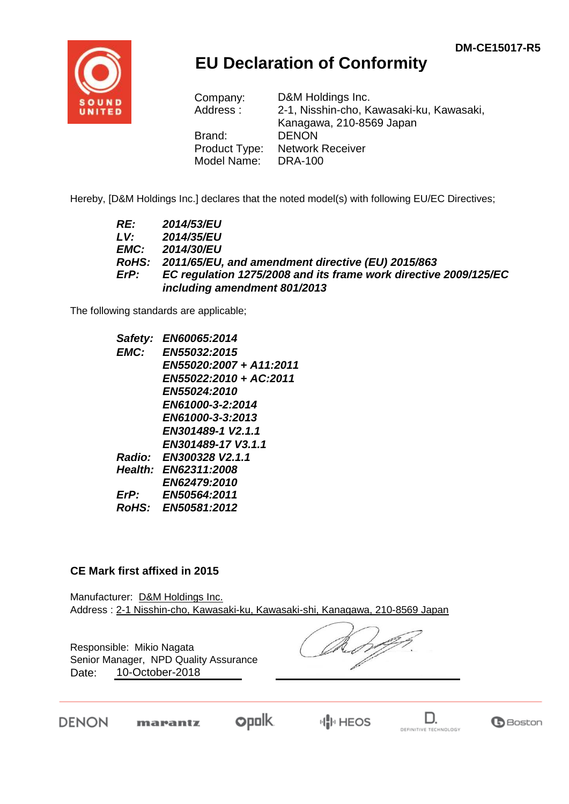

## **EU Declaration of Conformity**

| Company:      | D&M Holdings Inc.                        |
|---------------|------------------------------------------|
| Address:      | 2-1, Nisshin-cho, Kawasaki-ku, Kawasaki, |
|               | Kanagawa, 210-8569 Japan                 |
| Brand:        | <b>DENON</b>                             |
| Product Type: | <b>Network Receiver</b>                  |
| Model Name:   | <b>DRA-100</b>                           |

Hereby, [D&M Holdings Inc.] declares that the noted model(s) with following EU/EC Directives;

| RE:  | 2014/53/EU                                                       |
|------|------------------------------------------------------------------|
| LV:  | 2014/35/EU                                                       |
| EMC: | <b>2014/30/EU</b>                                                |
|      | RoHS: 2011/65/EU, and amendment directive (EU) 2015/863          |
| ErP: | EC regulation 1275/2008 and its frame work directive 2009/125/EC |
|      | including amendment 801/2013                                     |

The following standards are applicable;

| Safety: | EN60065:2014            |
|---------|-------------------------|
| EMC:    | EN55032:2015            |
|         | EN55020:2007 + A11:2011 |
|         | EN55022:2010 + AC:2011  |
|         | <b>EN55024:2010</b>     |
|         | EN61000-3-2:2014        |
|         | EN61000-3-3:2013        |
|         | EN301489-1 V2.1.1       |
|         | EN301489-17 V3.1.1      |
| Radio:  | EN300328 V2.1.1         |
|         | Health: EN62311:2008    |
|         | <b>EN62479:2010</b>     |
| ErP:    | EN50564:2011            |
| RoHS:   | EN50581:2012            |
|         |                         |

## **CE Mark first affixed in 2015**

Manufacturer: D&M Holdings Inc. Address : 2-1 Nisshin-cho, Kawasaki-ku, Kawasaki-shi, Kanagawa, 210-8569 Japan

Responsible: Mikio Nagata Date: 10-October-2018 Senior Manager, NPD Quality Assurance

DENON

**opolk** marantz